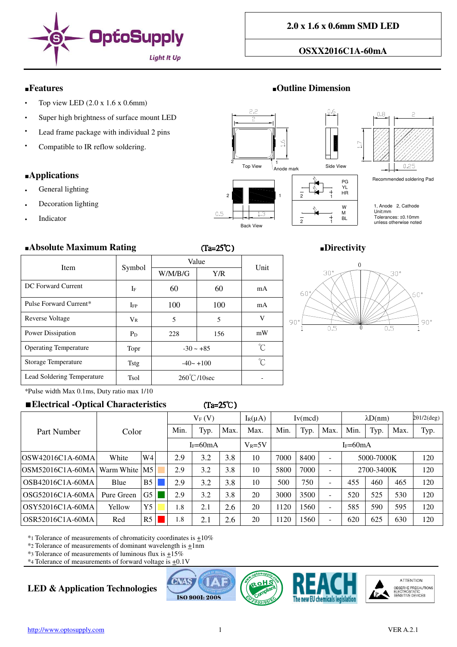

## **OSXX2016C1A-60mA**

## ■**Features** ■**Outline Dimension**

- Top view LED  $(2.0 x 1.6 x 0.6 mm)$
- Super high brightness of surface mount LED
- Lead frame package with individual 2 pins
- Compatible to IR reflow soldering.

### ■**Applications**

- General lighting
- Decoration lighting
- **Indicator**



#### ■**Absolute Maximum Rating** (Ta=25℃) ■**Directivity**

| <b>Item</b>                  |              | Value          | Unit      |    |  |
|------------------------------|--------------|----------------|-----------|----|--|
|                              | Symbol       | W/M/B/G        | Y/R       |    |  |
| DC Forward Current           | If           | 60             | 60        | mA |  |
| Pulse Forward Current*       | $I_{\rm FP}$ | 100            | 100       | mA |  |
| Reverse Voltage              | $V_{R}$      | 5              | 5         | V  |  |
| Power Dissipation            | $P_D$        | 228            | 156       | mW |  |
| <b>Operating Temperature</b> | Topr         | $-30 \sim +85$ | °C        |    |  |
| <b>Storage Temperature</b>   | <b>Tstg</b>  | $-40 - +100$   | $\hat{C}$ |    |  |
| Lead Soldering Temperature   | <b>Tsol</b>  | 260°℃/10sec    |           |    |  |



\*Pulse width Max 0.1ms, Duty ratio max 1/10

# ■**Electrical -Optical Characteristics** (Ta=25℃ (Ta=25℃)

|                  | Color         |                | $V_F(V)$   |      | $I_R(\mu A)$ | Iv(mcd)   |      | $\lambda D(nm)$ |            | $2\theta$ 1/2(deg) |            |      |      |     |
|------------------|---------------|----------------|------------|------|--------------|-----------|------|-----------------|------------|--------------------|------------|------|------|-----|
| Part Number      |               |                | Min.       | Typ. | <b>Max</b>   | Max.      | Min. | Typ.            | <b>Max</b> | Min.               | Typ.       | Max. | Typ. |     |
|                  |               |                | $I_F=60mA$ |      | $V_R = 5V$   | $IF=60mA$ |      |                 |            |                    |            |      |      |     |
| OSW42016C1A-60MA | White         | W4l            |            | 2.9  | 3.2          | 3.8       | 10   | 7000            | 8400       |                    | 5000-7000K |      |      | 120 |
| OSM52016C1A-60MA | Warm White M5 |                |            | 2.9  | 3.2          | 3.8       | 10   | 5800            | 7000       |                    | 2700-3400K |      |      | 120 |
| OSB42016C1A-60MA | Blue          | B <sub>5</sub> |            | 2.9  | 3.2          | 3.8       | 10   | 500             | 750        |                    | 455        | 460  | 465  | 120 |
| OSG52016C1A-60MA | Pure Green    | G5             |            | 2.9  | 3.2          | 3.8       | 20   | 3000            | 3500       |                    | 520        | 525  | 530  | 120 |
| OSY52016C1A-60MA | Yellow        | Y <sub>5</sub> |            | 1.8  | 2.1          | 2.6       | 20   | 120             | 1560       |                    | 585        | 590  | 595  | 120 |
| OSR52016C1A-60MA | Red           | R <sub>5</sub> |            | 1.8  | 2.1          | 2.6       | 20   | 1120            | 1560       |                    | 620        | 625  | 630  | 120 |

 $*$ 1 Tolerance of measurements of chromaticity coordinates is  $\pm 10\%$ 

\*2 Tolerance of measurements of dominant wavelength is +1nm

\*3 Tolerance of measurements of luminous flux is  $\pm 15\%$  $*$ 4 Tolerance of measurements of forward voltage is  $\pm$ 0.1V

# **LED & Application Technologies**